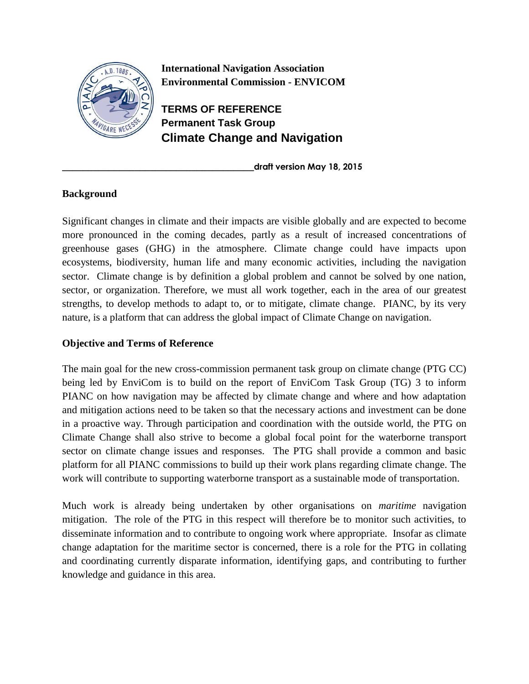

**International Navigation Association Environmental Commission - ENVICOM**

**TERMS OF REFERENCE Permanent Task Group Climate Change and Navigation**

**\_\_\_\_\_\_\_\_\_\_\_\_\_\_\_\_\_\_\_\_\_\_\_\_\_\_\_\_\_\_\_\_\_\_\_\_\_draft version May 18, 2015** 

## **Background**

Significant changes in climate and their impacts are visible globally and are expected to become more pronounced in the coming decades, partly as a result of increased concentrations of greenhouse gases (GHG) in the atmosphere. Climate change could have impacts upon ecosystems, biodiversity, human life and many economic activities, including the navigation sector. Climate change is by definition a global problem and cannot be solved by one nation, sector, or organization. Therefore, we must all work together, each in the area of our greatest strengths, to develop methods to adapt to, or to mitigate, climate change. PIANC, by its very nature, is a platform that can address the global impact of Climate Change on navigation.

## **Objective and Terms of Reference**

The main goal for the new cross-commission permanent task group on climate change (PTG CC) being led by EnviCom is to build on the report of EnviCom Task Group (TG) 3 to inform PIANC on how navigation may be affected by climate change and where and how adaptation and mitigation actions need to be taken so that the necessary actions and investment can be done in a proactive way. Through participation and coordination with the outside world, the PTG on Climate Change shall also strive to become a global focal point for the waterborne transport sector on climate change issues and responses. The PTG shall provide a common and basic platform for all PIANC commissions to build up their work plans regarding climate change. The work will contribute to supporting waterborne transport as a sustainable mode of transportation.

Much work is already being undertaken by other organisations on *maritime* navigation mitigation. The role of the PTG in this respect will therefore be to monitor such activities, to disseminate information and to contribute to ongoing work where appropriate. Insofar as climate change adaptation for the maritime sector is concerned, there is a role for the PTG in collating and coordinating currently disparate information, identifying gaps, and contributing to further knowledge and guidance in this area.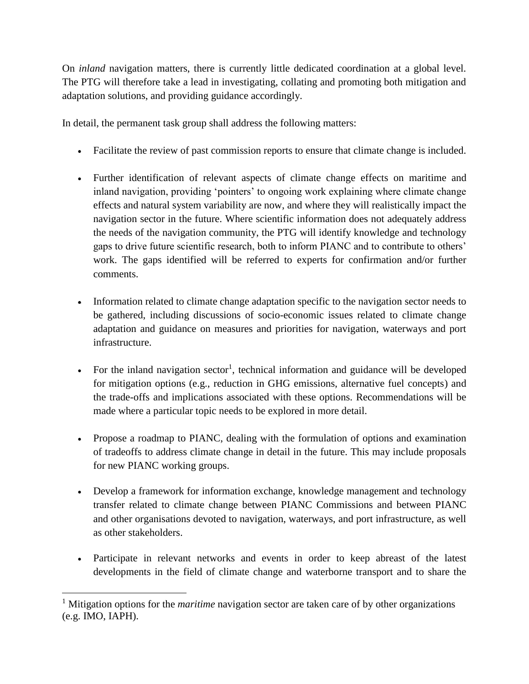On *inland* navigation matters, there is currently little dedicated coordination at a global level. The PTG will therefore take a lead in investigating, collating and promoting both mitigation and adaptation solutions, and providing guidance accordingly.

In detail, the permanent task group shall address the following matters:

- Facilitate the review of past commission reports to ensure that climate change is included.
- Further identification of relevant aspects of climate change effects on maritime and inland navigation, providing 'pointers' to ongoing work explaining where climate change effects and natural system variability are now, and where they will realistically impact the navigation sector in the future. Where scientific information does not adequately address the needs of the navigation community, the PTG will identify knowledge and technology gaps to drive future scientific research, both to inform PIANC and to contribute to others' work. The gaps identified will be referred to experts for confirmation and/or further comments.
- Information related to climate change adaptation specific to the navigation sector needs to be gathered, including discussions of socio-economic issues related to climate change adaptation and guidance on measures and priorities for navigation, waterways and port infrastructure.
- For the inland navigation sector<sup>1</sup>, technical information and guidance will be developed for mitigation options (e.g., reduction in GHG emissions, alternative fuel concepts) and the trade-offs and implications associated with these options. Recommendations will be made where a particular topic needs to be explored in more detail.
- Propose a roadmap to PIANC, dealing with the formulation of options and examination of tradeoffs to address climate change in detail in the future. This may include proposals for new PIANC working groups.
- Develop a framework for information exchange, knowledge management and technology transfer related to climate change between PIANC Commissions and between PIANC and other organisations devoted to navigation, waterways, and port infrastructure, as well as other stakeholders.
- Participate in relevant networks and events in order to keep abreast of the latest developments in the field of climate change and waterborne transport and to share the

 $\overline{a}$ 

<sup>&</sup>lt;sup>1</sup> Mitigation options for the *maritime* navigation sector are taken care of by other organizations (e.g. IMO, IAPH).